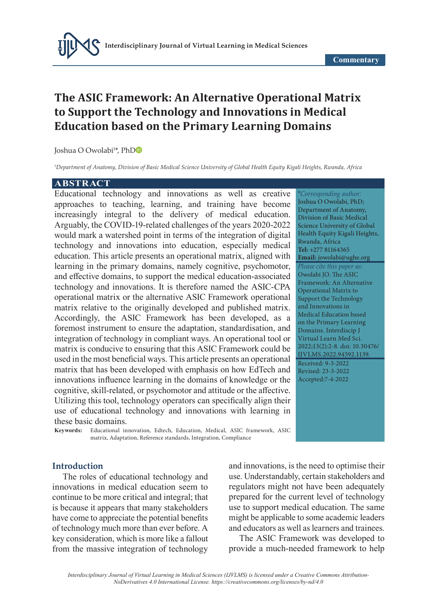# **The ASIC Framework: An Alternative Operational Matrix to Support the Technology and Innovations in Medical Education based on the Primary Learning Domains**

Joshua O Owolabi1 \*, Ph[D](https://orcid.org/0000-0003-2880-9701)

*1 Department of Anatomy, Division of Basic Medical Science University of Global Health Equity Kigali Heights, Rwanda, Africa*

### **ABSTRACT**

Educational technology and innovations as well as creative approaches to teaching, learning, and training have become increasingly integral to the delivery of medical education. Arguably, the COVID-19-related challenges of the years 2020-2022 would mark a watershed point in terms of the integration of digital technology and innovations into education, especially medical education. This article presents an operational matrix, aligned with learning in the primary domains, namely cognitive, psychomotor, and effective domains, to support the medical education-associated technology and innovations. It is therefore named the ASIC-CPA operational matrix or the alternative ASIC Framework operational matrix relative to the originally developed and published matrix. Accordingly, the ASIC Framework has been developed, as a foremost instrument to ensure the adaptation, standardisation, and integration of technology in compliant ways. An operational tool or matrix is conducive to ensuring that this ASIC Framework could be used in the most beneficial ways. This article presents an operational matrix that has been developed with emphasis on how EdTech and innovations influence learning in the domains of knowledge or the cognitive, skill-related, or psychomotor and attitude or the affective. Utilizing this tool, technology operators can specifically align their use of educational technology and innovations with learning in these basic domains.<br> **Keywords:** Educational in

**Keywords:** Educational innovation, Edtech, Education, Medical, ASIC framework, ASIC matrix, Adaptation, Reference standards, Integration, Compliance

#### **Introduction**

The roles of educational technology and innovations in medical education seem to continue to be more critical and integral; that is because it appears that many stakeholders have come to appreciate the potential benefits of technology much more than ever before. A key consideration, which is more like a fallout from the massive integration of technology and innovations, is the need to optimise their use. Understandably, certain stakeholders and regulators might not have been adequately prepared for the current level of technology use to support medical education. The same might be applicable to some academic leaders and educators as well as learners and trainees.

The ASIC Framework was developed to provide a much-needed framework to help

\**Corresponding author:* Joshua O Owolabi, PhD; Department of Anatomy, Division of Basic Medical Science University of Global Health Equity Kigali Heights, Rwanda, Africa **Tel:** +277 81164365 **Email:** jowolabi@ughe.org *Please cite this paper as:* Owolabi JO. The ASIC Framework: An Alternative Operational Matrix to Support the Technology and Innovations in Medical Education based on the Primary Learning Domains. Interdiscip J Virtual Learn Med Sci. 2022;13(2):2-8. doi: 10.30476/ IJVLMS.2022.94592.1139. Received: 9-3-2022 Revised: 23-3-2022 Accepted:7-4-2022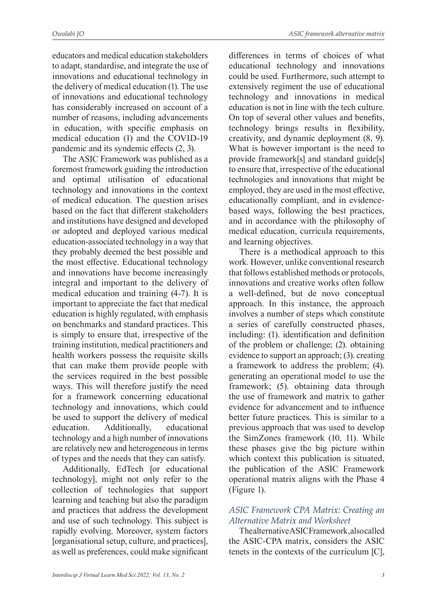educators and medical education stakeholders to adapt, standardise, and integrate the use of innovations and educational technology in the delivery of medical education (1). The use of innovations and educational technology has considerably increased on account of a number of reasons, including advancements in education, with specific emphasis on medical education (1) and the COVID-19 pandemic and its syndemic effects (2, 3).

The ASIC Framework was published as a foremost framework guiding the introduction and optimal utilisation of educational technology and innovations in the context of medical education. The question arises based on the fact that different stakeholders and institutions have designed and developed or adopted and deployed various medical education-associated technology in a way that they probably deemed the best possible and the most effective. Educational technology and innovations have become increasingly integral and important to the delivery of medical education and training (4-7). It is important to appreciate the fact that medical education is highly regulated, with emphasis on benchmarks and standard practices. This is simply to ensure that, irrespective of the training institution, medical practitioners and health workers possess the requisite skills that can make them provide people with the services required in the best possible ways. This will therefore justify the need for a framework concerning educational technology and innovations, which could be used to support the delivery of medical education. Additionally, educational technology and a high number of innovations are relatively new and heterogeneous in terms of types and the needs that they can satisfy.

Additionally, EdTech [or educational technology], might not only refer to the collection of technologies that support learning and teaching but also the paradigm and practices that address the development and use of such technology. This subject is rapidly evolving. Moreover, system factors [organisational setup, culture, and practices], as well as preferences, could make significant differences in terms of choices of what educational technology and innovations could be used. Furthermore, such attempt to extensively regiment the use of educational technology and innovations in medical education is not in line with the tech culture. On top of several other values and benefits, technology brings results in flexibility, creativity, and dynamic deployment (8, 9). What is however important is the need to provide framework[s] and standard guide[s] to ensure that, irrespective of the educational technologies and innovations that might be employed, they are used in the most effective, educationally compliant, and in evidencebased ways, following the best practices, and in accordance with the philosophy of medical education, curricula requirements, and learning objectives.

There is a methodical approach to this work. However, unlike conventional research that follows established methods or protocols, innovations and creative works often follow a well-defined, but de novo conceptual approach. In this instance, the approach involves a number of steps which constitute a series of carefully constructed phases, including: (1). identification and definition of the problem or challenge; (2). obtaining evidence to support an approach; (3). creating a framework to address the problem; (4). generating an operational model to use the framework; (5). obtaining data through the use of framework and matrix to gather evidence for advancement and to influence better future practices. This is similar to a previous approach that was used to develop the SimZones framework (10, 11). While these phases give the big picture within which context this publication is situated, the publication of the ASIC Framework operational matrix aligns with the Phase 4 (Figure 1).

## *ASIC Framework CPA Matrix: Creating an Alternative Matrix and Worksheet*

The alternative ASIC Framework, also called the ASIC-CPA matrix, considers the ASIC tenets in the contexts of the curriculum [C],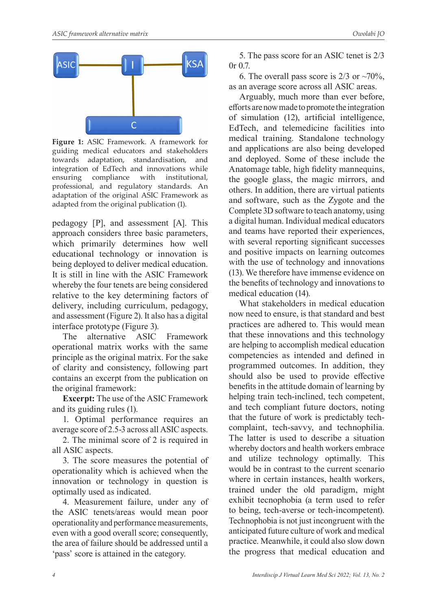

**Figure 1:** ASIC Framework. A framework for guiding medical educators and stakeholders towards adaptation, standardisation, and integration of EdTech and innovations while ensuring compliance with institutional, professional, and regulatory standards. An adaptation of the original ASIC Framework as adapted from the original publication (1).

pedagogy [P], and assessment [A]. This approach considers three basic parameters, which primarily determines how well educational technology or innovation is being deployed to deliver medical education. It is still in line with the ASIC Framework whereby the four tenets are being considered relative to the key determining factors of delivery, including curriculum, pedagogy, and assessment (Figure 2). It also has a digital interface prototype (Figure 3).

The alternative ASIC Framework operational matrix works with the same principle as the original matrix. For the sake of clarity and consistency, following part contains an excerpt from the publication on the original framework:

**Excerpt:** The use of the ASIC Framework and its guiding rules (1).

1. Optimal performance requires an average score of 2.5-3 across all ASIC aspects.

2. The minimal score of 2 is required in all ASIC aspects.

3. The score measures the potential of operationality which is achieved when the innovation or technology in question is optimally used as indicated.

4. Measurement failure, under any of the ASIC tenets/areas would mean poor operationality and performance measurements, even with a good overall score; consequently, the area of failure should be addressed until a 'pass' score is attained in the category.

5. The pass score for an ASIC tenet is 2/3 0r 0.7.

6. The overall pass score is  $2/3$  or  $\sim 70\%$ , as an average score across all ASIC areas.

Arguably, much more than ever before, efforts are now made to promote the integration of simulation (12), artificial intelligence, EdTech, and telemedicine facilities into medical training. Standalone technology and applications are also being developed and deployed. Some of these include the Anatomage table, high fidelity mannequins, the google glass, the magic mirrors, and others. In addition, there are virtual patients and software, such as the Zygote and the Complete 3D software to teach anatomy, using a digital human. Individual medical educators and teams have reported their experiences, with several reporting significant successes and positive impacts on learning outcomes with the use of technology and innovations (13). We therefore have immense evidence on the benefits of technology and innovations to medical education (14).

What stakeholders in medical education now need to ensure, is that standard and best practices are adhered to. This would mean that these innovations and this technology are helping to accomplish medical education competencies as intended and defined in programmed outcomes. In addition, they should also be used to provide effective benefits in the attitude domain of learning by helping train tech-inclined, tech competent, and tech compliant future doctors, noting that the future of work is predictably techcomplaint, tech-savvy, and technophilia. The latter is used to describe a situation whereby doctors and health workers embrace and utilize technology optimally. This would be in contrast to the current scenario where in certain instances, health workers, trained under the old paradigm, might exhibit tecnophobia (a term used to refer to being, tech-averse or tech-incompetent). Technophobia is not just incongruent with the anticipated future culture of work and medical practice. Meanwhile, it could also slow down the progress that medical education and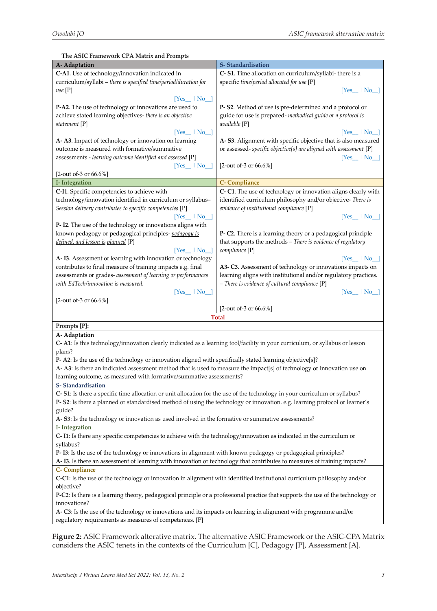**The ASIC Framework CPA Matrix and Prompts A- Adaptation S- Standardisation C-A1**. Use of technology/innovation indicated in curriculum/syllabi – *there is specified time/period/duration for use* [P] [Yes\_\_ | No\_\_] **P-A2**. The use of technology or innovations are used to achieve stated learning objectives- *there is an objective statement* [P]  $[Yes_ ] | No_$ **A- A3**. Impact of technology or innovation on learning outcome is measured with formative/summative assessments - *learning outcome identified and assessed* [P]  $[Yes \quad | No \quad ]$ [2-out of-3 or 66.6%] **C- S1**. Time allocation on curriculum/syllabi- there is a specific *time/period allocated for use* [P] [Yes\_\_ | No\_\_] **P- S2**. Method of use is pre-determined and a protocol or guide for use is prepared- *methodical guide or a protocol is available* [P] [Yes\_\_ | No\_\_] **A- S3**. Alignment with specific objective that is also measured or assessed- *specific objective[s] are aligned with assessment* [P]  $[Yes \quad | No \quad ]$ [2-out of-3 or 66.6%] **I- Integration C- Compliance C-I1**. Specific competencies to achieve with technology/innovation identified in curriculum or syllabus– *Session delivery contributes to specific competencies* [P] [Yes\_\_ | No\_\_] **P- I2**. The use of the technology or innovations aligns with known pedagogy or pedagogical principles- *pedagogy is defined, and lesson is planned* [P] [Yes\_\_ | No\_\_] **A- I3***.* Assessment of learning with innovation or technology contributes to final measure of training impacts e.g. final assessments or grades- *assessment of learning or performances with EdTech/innovation is measured.* [Yes\_\_ | No\_\_] [2-out of-3 or 66.6%] **C- C1**. The use of technology or innovation aligns clearly with identified curriculum philosophy and/or objective- *There is evidence of institutional compliance* [P]  $[Yes \quad | No \quad ]$ **P- C2**. There is a learning theory or a pedagogical principle that supports the methods – *There is evidence of regulatory compliance* [P]  $[Yes$   $| No_$ **A3- C3**. Assessment of technology or innovations impacts on learning aligns with institutional and/or regulatory practices. *– There is evidence of cultural compliance* [P] [Yes\_\_ | No\_\_] [2-out of-3 or 66.6%] **Total Prompts [P]: A- Adaptation C- A1**: Is this technology/innovation clearly indicated as a learning tool/facility in your curriculum, or syllabus or lesson plans? **P- A2**: Is the use of the technology or innovation aligned with specifically stated learning objective[s]? **A- A3**: Is there an indicated assessment method that is used to measure the impact[s] of technology or innovation use on learning outcome, as measured with formative/summative assessments? **S- Standardisation C- S1**: Is there a specific time allocation or unit allocation for the use of the technology in your curriculum or syllabus? **P- S2**: Is there a planned or standardised method of using the technology or innovation. e.g. learning protocol or learner's guide? **A- S3**: Is the technology or innovation as used involved in the formative or summative assessments? **I- Integration C- I1**: Is there any specific competencies to achieve with the technology/innovation as indicated in the curriculum or syllabus? **P- I3**: Is the use of the technology or innovations in alignment with known pedagogy or pedagogical principles? **A- I3***.* Is there an assessment of learning with innovation or technology that contributes to measures of training impacts? **C- Compliance C-C1**: Is the use of the technology or innovation in alignment with identified institutional curriculum philosophy and/or objective? **P-C2**: Is there is a learning theory, pedagogical principle or a professional practice that supports the use of the technology or innovations? **A- C3**: Is the use of the technology or innovations and its impacts on learning in alignment with programme and/or regulatory requirements as measures of competences. [P]

**Figure 2:** ASIC Framework alterative matrix. The alternative ASIC Framework or the ASIC-CPA Matrix considers the ASIC tenets in the contexts of the Curriculum [C], Pedagogy [P], Assessment [A].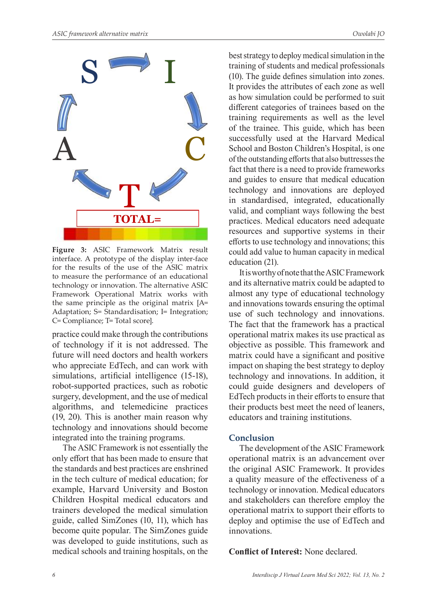

**Figure 3:** ASIC Framework Matrix result interface. A prototype of the display inter-face for the results of the use of the ASIC matrix to measure the performance of an educational technology or innovation. The alternative ASIC Framework Operational Matrix works with the same principle as the original matrix [A= Adaptation; S= Standardisation; I= Integration; C= Compliance; T= Total score].

practice could make through the contributions of technology if it is not addressed. The future will need doctors and health workers who appreciate EdTech, and can work with simulations, artificial intelligence (15-18), robot-supported practices, such as robotic surgery, development, and the use of medical algorithms, and telemedicine practices (19, 20). This is another main reason why technology and innovations should become integrated into the training programs.

The ASIC Framework is not essentially the only effort that has been made to ensure that the standards and best practices are enshrined in the tech culture of medical education; for example, Harvard University and Boston Children Hospital medical educators and trainers developed the medical simulation guide, called SimZones (10, 11), which has become quite popular. The SimZones guide was developed to guide institutions, such as medical schools and training hospitals, on the

best strategy to deploy medical simulation in the training of students and medical professionals (10). The guide defines simulation into zones. It provides the attributes of each zone as well as how simulation could be performed to suit different categories of trainees based on the training requirements as well as the level of the trainee. This guide, which has been successfully used at the Harvard Medical School and Boston Children's Hospital, is one of the outstanding efforts that also buttresses the fact that there is a need to provide frameworks and guides to ensure that medical education technology and innovations are deployed in standardised, integrated, educationally valid, and compliant ways following the best practices. Medical educators need adequate resources and supportive systems in their efforts to use technology and innovations; this could add value to human capacity in medical education (21).

It is worthy of note that the ASIC Framework and its alternative matrix could be adapted to almost any type of educational technology and innovations towards ensuring the optimal use of such technology and innovations. The fact that the framework has a practical operational matrix makes its use practical as objective as possible. This framework and matrix could have a significant and positive impact on shaping the best strategy to deploy technology and innovations. In addition, it could guide designers and developers of EdTech products in their efforts to ensure that their products best meet the need of leaners, educators and training institutions.

### **Conclusion**

The development of the ASIC Framework operational matrix is an advancement over the original ASIC Framework. It provides a quality measure of the effectiveness of a technology or innovation. Medical educators and stakeholders can therefore employ the operational matrix to support their efforts to deploy and optimise the use of EdTech and innovations.

**Conflict of Interest:** None declared.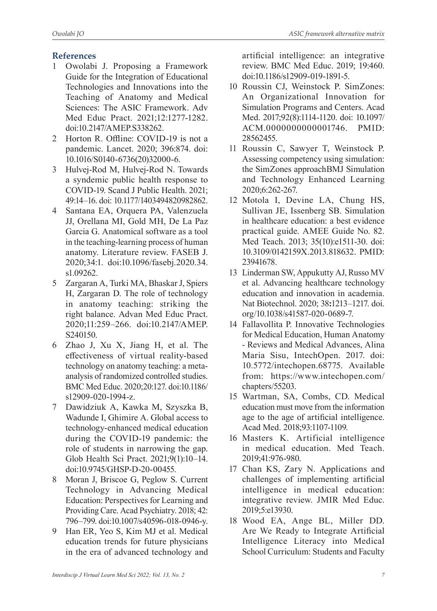# **References**

- 1 Owolabi J. Proposing a Framework Guide for the Integration of Educational Technologies and Innovations into the Teaching of Anatomy and Medical Sciences: The ASIC Framework. Adv Med Educ Pract. 2021;12:1277-1282. doi:10.2147/AMEP.S338262.
- 2 Horton R. Offline: COVID-19 is not a pandemic. Lancet. 2020; 396:874. doi: 10.1016/S0140-6736(20)32000-6.
- 3 Hulvej-Rod M, Hulvej-Rod N. Towards a syndemic public health response to COVID-19. Scand J Public Health. 2021; 49:14–16. doi: 10.1177/1403494820982862.
- 4 Santana EA, Orquera PA, Valenzuela JJ, Orellana MI, Gold MH, De La Paz Garcia G. Anatomical software as a tool in the teaching-learning process of human anatomy. Literature review. FASEB J. 2020;34:1. doi:10.1096/fasebj.2020.34. s1.09262.
- 5 Zargaran A, Turki MA, Bhaskar J, Spiers H, Zargaran D. The role of technology in anatomy teaching: striking the right balance. Advan Med Educ Pract. 2020;11:259–266. doi:10.2147/AMEP. S240150.
- 6 Zhao J, Xu X, Jiang H, et al. The effectiveness of virtual reality-based technology on anatomy teaching: a metaanalysis of randomized controlled studies. BMC Med Educ. 2020;20:127. doi:10.1186/ s12909-020-1994-z.
- 7 Dawidziuk A, Kawka M, Szyszka B, Wadunde I, Ghimire A. Global access to technology-enhanced medical education during the COVID-19 pandemic: the role of students in narrowing the gap. Glob Health Sci Pract. 2021;9(1):10–14. doi:10.9745/GHSP-D-20-00455.
- 8 Moran J, Briscoe G, Peglow S. Current Technology in Advancing Medical Education: Perspectives for Learning and Providing Care. Acad Psychiatry. 2018; 42: 796–799. doi:10.1007/s40596-018-0946-y.
- 9 Han ER, Yeo S, Kim MJ et al. Medical education trends for future physicians in the era of advanced technology and

artificial intelligence: an integrative review. BMC Med Educ. 2019; 19:460. doi:10.1186/s12909-019-1891-5.

- 10 Roussin CJ, Weinstock P. SimZones: An Organizational Innovation for Simulation Programs and Centers. Acad Med. 2017;92(8):1114-1120. doi: 10.1097/ ACM.0000000000001746. PMID: 28562455.
- 11 Roussin C, Sawyer T, Weinstock P. Assessing competency using simulation: the SimZones approachBMJ Simulation and Technology Enhanced Learning 2020;6:262-267.
- 12 Motola I, Devine LA, Chung HS, Sullivan JE, Issenberg SB. Simulation in healthcare education: a best evidence practical guide. AMEE Guide No. 82. Med Teach. 2013; 35(10):e1511-30. doi: 10.3109/0142159X.2013.818632. PMID: 23941678.
- 13 Linderman SW, Appukutty AJ, Russo MV et al. Advancing healthcare technology education and innovation in academia. Nat Biotechnol. 2020; 38**:**1213–1217. doi. org/10.1038/s41587-020-0689-7.
- 14 Fallavollita P. Innovative Technologies for Medical Education, Human Anatomy - Reviews and Medical Advances, Alina Maria Sisu, IntechOpen. 2017. doi: 10.5772/intechopen.68775. Available from: https://www.intechopen.com/ chapters/55203.
- 15 Wartman, SA, Combs, CD. Medical education must move from the information age to the age of artificial intelligence. Acad Med. 2018;93:1107-1109.
- 16 Masters K. Artificial intelligence in medical education. Med Teach. 2019;41:976-980.
- 17 Chan KS, Zary N. Applications and challenges of implementing artificial intelligence in medical education: integrative review. JMIR Med Educ. 2019;5:e13930.
- 18 Wood EA, Ange BL, Miller DD. Are We Ready to Integrate Artificial Intelligence Literacy into Medical School Curriculum: Students and Faculty